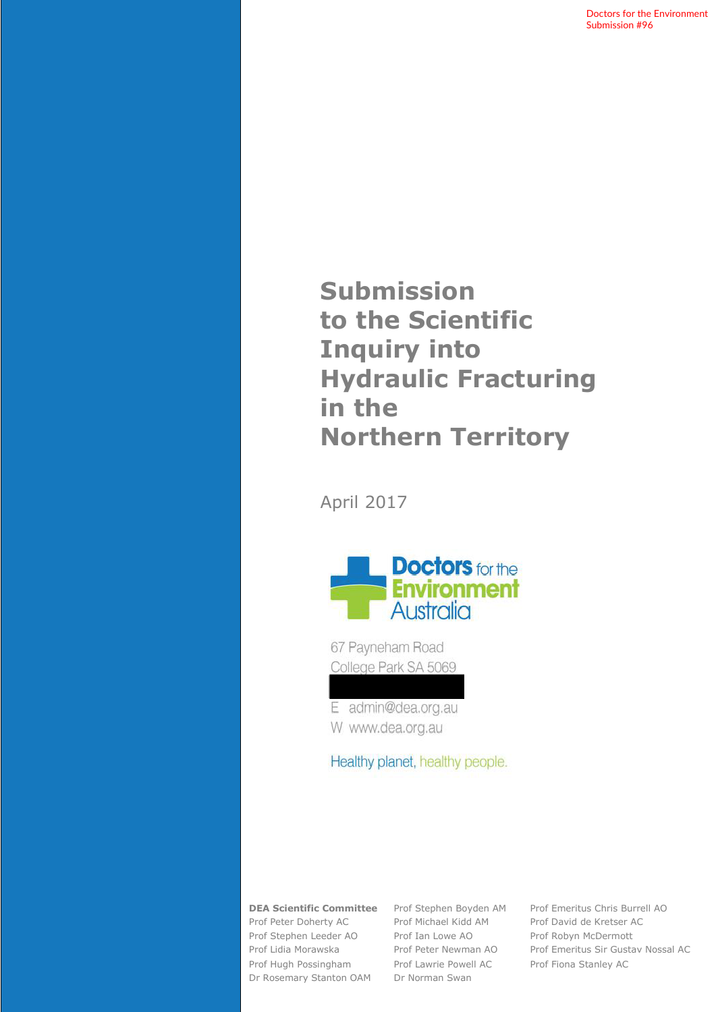Doctors for the Environment Submission #96

# **Submission to the Scientific Inquiry into Hydraulic Fracturing in the Northern Territory**

April 2017



67 Payneham Road College Park SA 5069

E admin@dea.org.au W www.dea.org.au

Healthy planet, healthy people.

Prof Peter Doherty AC Prof Michael Kidd AM Prof David de Kretser AC Prof Stephen Leeder AO Prof Ian Lowe AO Prof Robyn McDermott Prof Hugh Possingham Prof Lawrie Powell AC Prof Fiona Stanley AC Dr Rosemary Stanton OAM Dr Norman Swan

**DEA Scientific Committee** Prof Stephen Boyden AM Prof Emeritus Chris Burrell AO Prof Lidia Morawska Prof Peter Newman AO Prof Emeritus Sir Gustav Nossal AC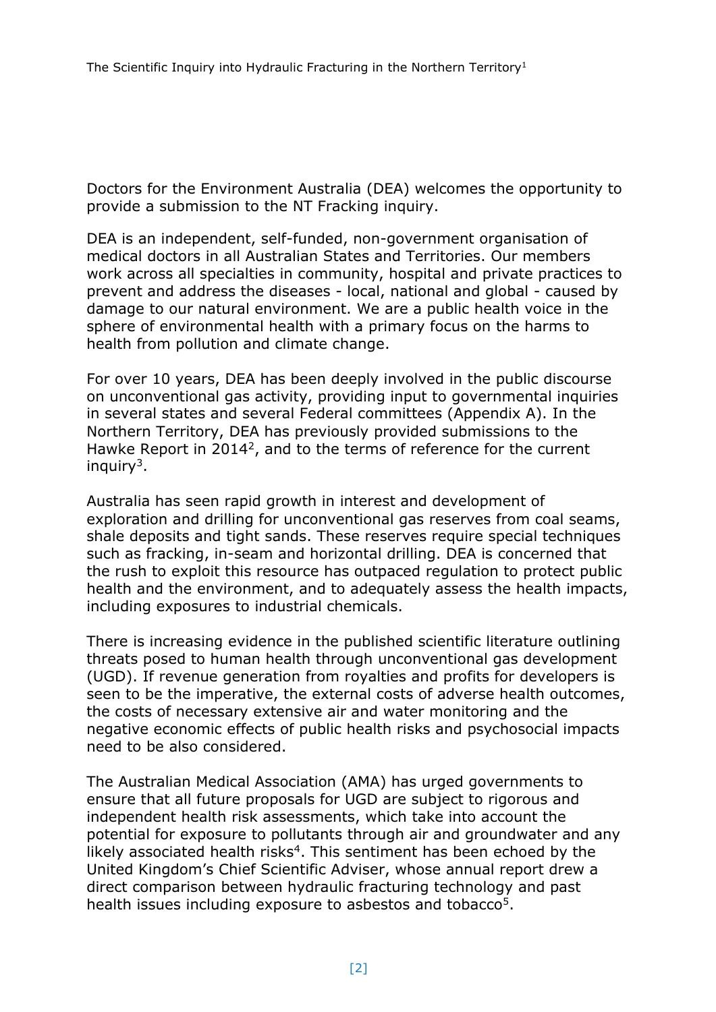Doctors for the Environment Australia (DEA) welcomes the opportunity to provide a submission to the NT Fracking inquiry.

DEA is an independent, self-funded, non-government organisation of medical doctors in all Australian States and Territories. Our members work across all specialties in community, hospital and private practices to prevent and address the diseases - local, national and global - caused by damage to our natural environment. We are a public health voice in the sphere of environmental health with a primary focus on the harms to health from pollution and climate change.

For over 10 years, DEA has been deeply involved in the public discourse on unconventional gas activity, providing input to governmental inquiries in several states and several Federal committees (Appendix A). In the Northern Territory, DEA has previously provided submissions to the Hawke Report in  $2014^2$ , and to the terms of reference for the current inquiry<sup>3</sup>.

Australia has seen rapid growth in interest and development of exploration and drilling for unconventional gas reserves from coal seams, shale deposits and tight sands. These reserves require special techniques such as fracking, in-seam and horizontal drilling. DEA is concerned that the rush to exploit this resource has outpaced regulation to protect public health and the environment, and to adequately assess the health impacts, including exposures to industrial chemicals.

There is increasing evidence in the published scientific literature outlining threats posed to human health through unconventional gas development (UGD). If revenue generation from royalties and profits for developers is seen to be the imperative, the external costs of adverse health outcomes, the costs of necessary extensive air and water monitoring and the negative economic effects of public health risks and psychosocial impacts need to be also considered.

The Australian Medical Association (AMA) has urged governments to ensure that all future proposals for UGD are subject to rigorous and independent health risk assessments, which take into account the potential for exposure to pollutants through air and groundwater and any likely associated health risks<sup>4</sup>. This sentiment has been echoed by the United Kingdom's Chief Scientific Adviser, whose annual report drew a direct comparison between hydraulic fracturing technology and past health issues including exposure to asbestos and tobacco<sup>5</sup>.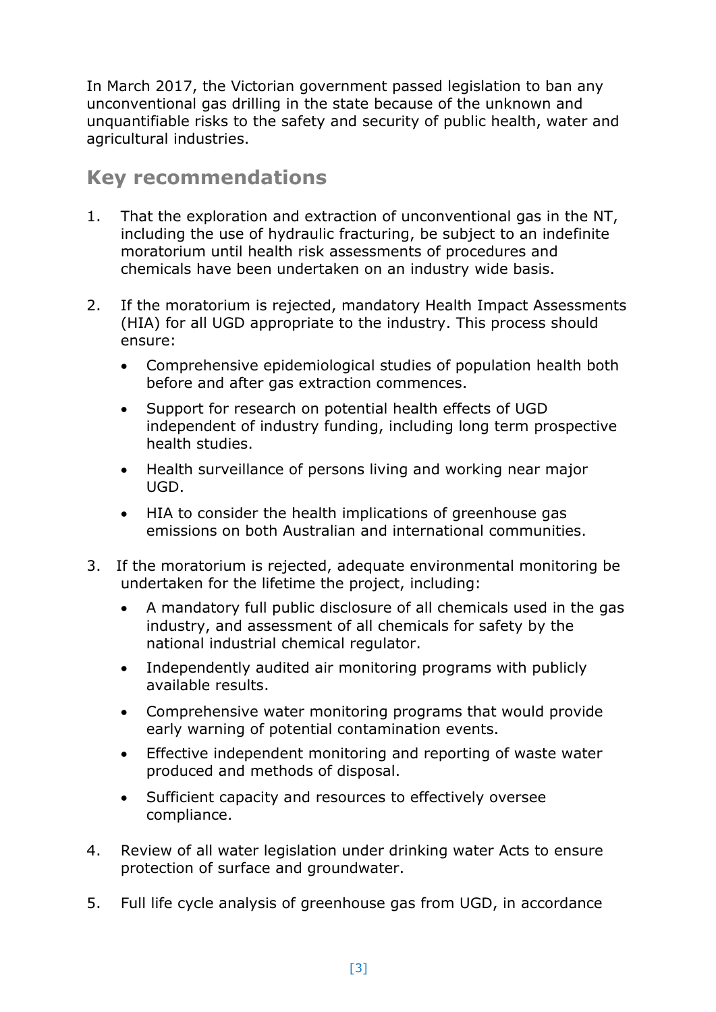In March 2017, the Victorian government passed legislation to ban any unconventional gas drilling in the state because of the unknown and unquantifiable risks to the safety and security of public health, water and agricultural industries.

#### **Key recommendations**

- 1. That the exploration and extraction of unconventional gas in the NT, including the use of hydraulic fracturing, be subject to an indefinite moratorium until health risk assessments of procedures and chemicals have been undertaken on an industry wide basis.
- 2. If the moratorium is rejected, mandatory Health Impact Assessments (HIA) for all UGD appropriate to the industry. This process should ensure:
	- Comprehensive epidemiological studies of population health both before and after gas extraction commences.
	- Support for research on potential health effects of UGD independent of industry funding, including long term prospective health studies.
	- Health surveillance of persons living and working near major UGD.
	- HIA to consider the health implications of greenhouse gas emissions on both Australian and international communities.
- 3. If the moratorium is rejected, adequate environmental monitoring be undertaken for the lifetime the project, including:
	- A mandatory full public disclosure of all chemicals used in the gas industry, and assessment of all chemicals for safety by the national industrial chemical regulator.
	- Independently audited air monitoring programs with publicly available results.
	- Comprehensive water monitoring programs that would provide early warning of potential contamination events.
	- Effective independent monitoring and reporting of waste water produced and methods of disposal.
	- Sufficient capacity and resources to effectively oversee compliance.
- 4. Review of all water legislation under drinking water Acts to ensure protection of surface and groundwater.
- 5. Full life cycle analysis of greenhouse gas from UGD, in accordance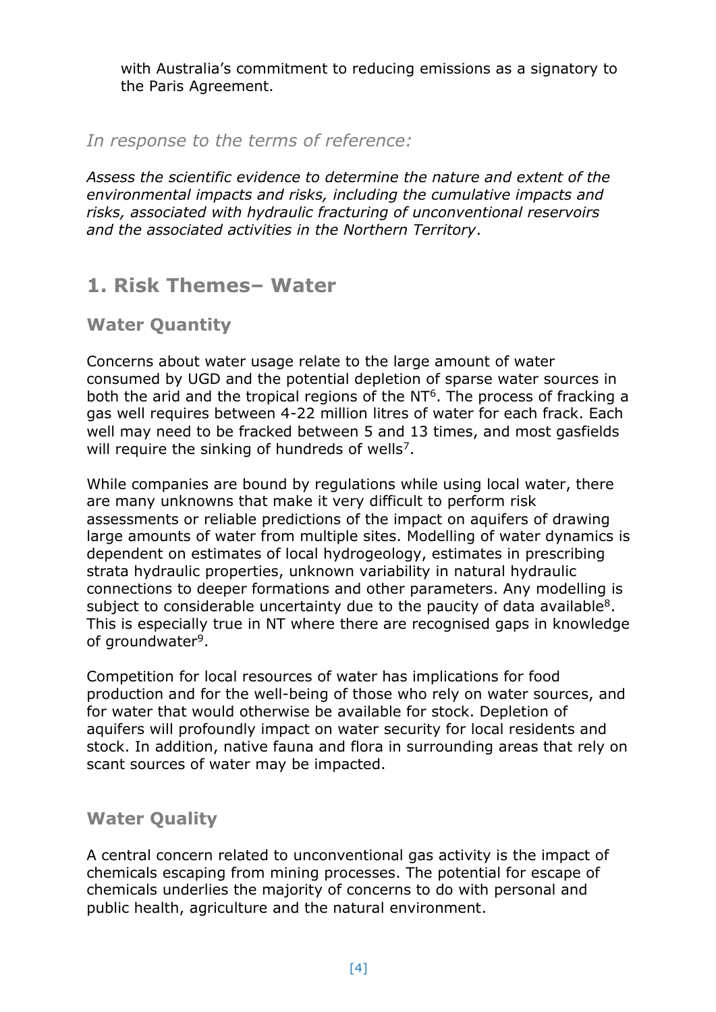with Australia's commitment to reducing emissions as a signatory to the Paris Agreement.

#### *In response to the terms of reference:*

*Assess the scientific evidence to determine the nature and extent of the environmental impacts and risks, including the cumulative impacts and risks, associated with hydraulic fracturing of unconventional reservoirs and the associated activities in the Northern Territory*.

#### **1. Risk Themes– Water**

**Water Quantity**

Concerns about water usage relate to the large amount of water consumed by UGD and the potential depletion of sparse water sources in both the arid and the tropical regions of the  $NT<sup>6</sup>$ . The process of fracking a gas well requires between 4-22 million litres of water for each frack. Each well may need to be fracked between 5 and 13 times, and most gasfields will require the sinking of hundreds of wells<sup>7</sup>.

While companies are bound by regulations while using local water, there are many unknowns that make it very difficult to perform risk assessments or reliable predictions of the impact on aquifers of drawing large amounts of water from multiple sites. Modelling of water dynamics is dependent on estimates of local hydrogeology, estimates in prescribing strata hydraulic properties, unknown variability in natural hydraulic connections to deeper formations and other parameters. Any modelling is subject to considerable uncertainty due to the paucity of data available $8$ . This is especially true in NT where there are recognised gaps in knowledge of groundwater<sup>9</sup>.

Competition for local resources of water has implications for food production and for the well-being of those who rely on water sources, and for water that would otherwise be available for stock. Depletion of aquifers will profoundly impact on water security for local residents and stock. In addition, native fauna and flora in surrounding areas that rely on scant sources of water may be impacted.

#### **Water Quality**

A central concern related to unconventional gas activity is the impact of chemicals escaping from mining processes. The potential for escape of chemicals underlies the majority of concerns to do with personal and public health, agriculture and the natural environment.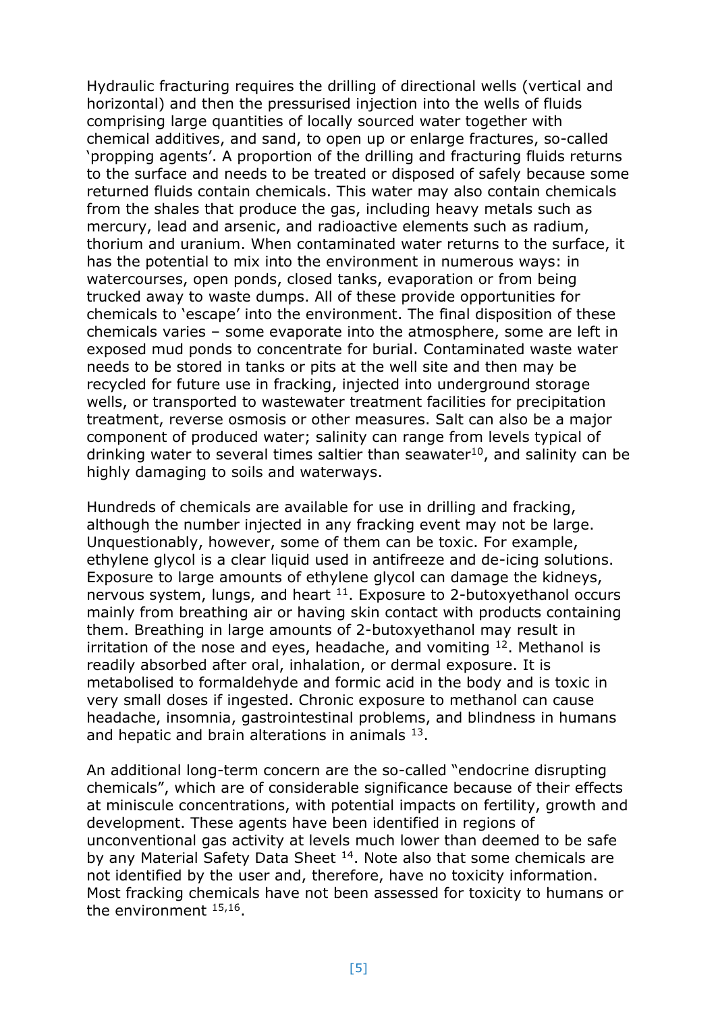Hydraulic fracturing requires the drilling of directional wells (vertical and horizontal) and then the pressurised injection into the wells of fluids comprising large quantities of locally sourced water together with chemical additives, and sand, to open up or enlarge fractures, so-called 'propping agents'. A proportion of the drilling and fracturing fluids returns to the surface and needs to be treated or disposed of safely because some returned fluids contain chemicals. This water may also contain chemicals from the shales that produce the gas, including heavy metals such as mercury, lead and arsenic, and radioactive elements such as radium, thorium and uranium. When contaminated water returns to the surface, it has the potential to mix into the environment in numerous ways: in watercourses, open ponds, closed tanks, evaporation or from being trucked away to waste dumps. All of these provide opportunities for chemicals to 'escape' into the environment. The final disposition of these chemicals varies – some evaporate into the atmosphere, some are left in exposed mud ponds to concentrate for burial. Contaminated waste water needs to be stored in tanks or pits at the well site and then may be recycled for future use in fracking, injected into underground storage wells, or transported to wastewater treatment facilities for precipitation treatment, reverse osmosis or other measures. Salt can also be a major component of produced water; salinity can range from levels typical of drinking water to several times saltier than seawater<sup>10</sup>, and salinity can be highly damaging to soils and waterways.

Hundreds of chemicals are available for use in drilling and fracking, although the number injected in any fracking event may not be large. Unquestionably, however, some of them can be toxic. For example, ethylene glycol is a clear liquid used in antifreeze and de-icing solutions. Exposure to large amounts of ethylene glycol can damage the kidneys, nervous system, lungs, and heart  $11$ . Exposure to 2-butoxyethanol occurs mainly from breathing air or having skin contact with products containing them. Breathing in large amounts of 2-butoxyethanol may result in irritation of the nose and eyes, headache, and vomiting  $12$ . Methanol is readily absorbed after oral, inhalation, or dermal exposure. It is metabolised to formaldehyde and formic acid in the body and is toxic in very small doses if ingested. Chronic exposure to methanol can cause headache, insomnia, gastrointestinal problems, and blindness in humans and hepatic and brain alterations in animals  $13$ .

An additional long-term concern are the so-called "endocrine disrupting chemicals", which are of considerable significance because of their effects at miniscule concentrations, with potential impacts on fertility, growth and development. These agents have been identified in regions of unconventional gas activity at levels much lower than deemed to be safe by any Material Safety Data Sheet <sup>14</sup>. Note also that some chemicals are not identified by the user and, therefore, have no toxicity information. Most fracking chemicals have not been assessed for toxicity to humans or the environment <sup>15,16</sup>.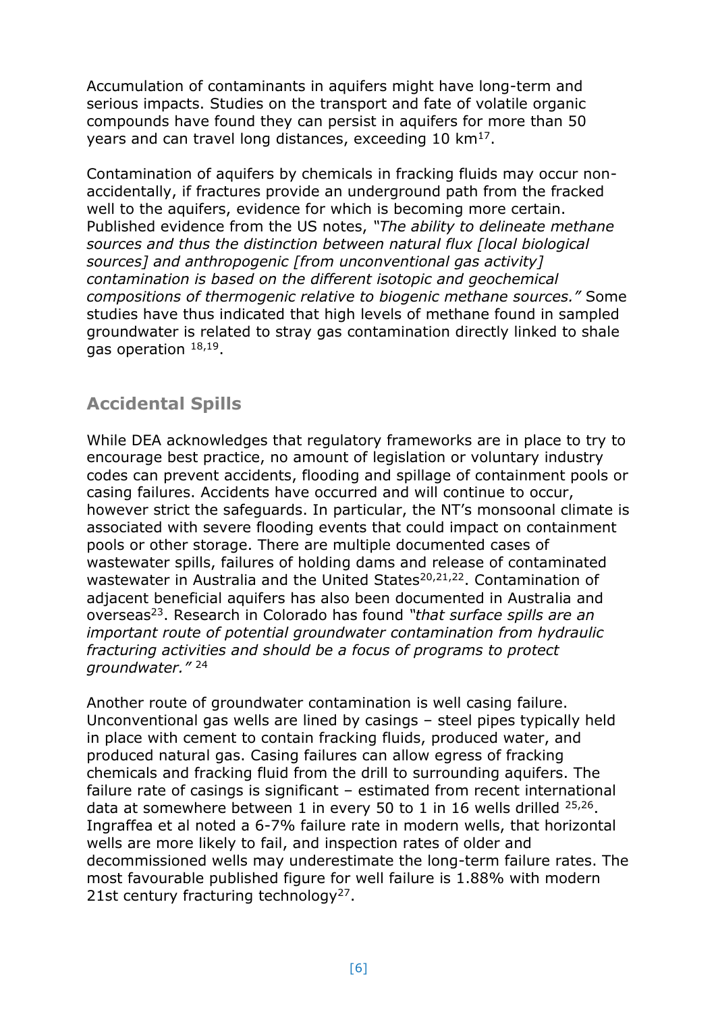Accumulation of contaminants in aquifers might have long-term and serious impacts. Studies on the transport and fate of volatile organic compounds have found they can persist in aquifers for more than 50 years and can travel long distances, exceeding 10  $km<sup>17</sup>$ .

Contamination of aquifers by chemicals in fracking fluids may occur nonaccidentally, if fractures provide an underground path from the fracked well to the aquifers, evidence for which is becoming more certain. Published evidence from the US notes, *"The ability to delineate methane sources and thus the distinction between natural flux [local biological sources] and anthropogenic [from unconventional gas activity] contamination is based on the different isotopic and geochemical compositions of thermogenic relative to biogenic methane sources."* Some studies have thus indicated that high levels of methane found in sampled groundwater is related to stray gas contamination directly linked to shale gas operation  $^{18,19}$ .

#### **Accidental Spills**

While DEA acknowledges that regulatory frameworks are in place to try to encourage best practice, no amount of legislation or voluntary industry codes can prevent accidents, flooding and spillage of containment pools or casing failures. Accidents have occurred and will continue to occur, however strict the safeguards. In particular, the NT's monsoonal climate is associated with severe flooding events that could impact on containment pools or other storage. There are multiple documented cases of wastewater spills, failures of holding dams and release of contaminated wastewater in Australia and the United States<sup>20,21,22</sup>. Contamination of adjacent beneficial aquifers has also been documented in Australia and overseas<sup>23</sup>. Research in Colorado has found *"that surface spills are an important route of potential groundwater contamination from hydraulic fracturing activities and should be a focus of programs to protect groundwater."* <sup>24</sup>

Another route of groundwater contamination is well casing failure. Unconventional gas wells are lined by casings – steel pipes typically held in place with cement to contain fracking fluids, produced water, and produced natural gas. Casing failures can allow egress of fracking chemicals and fracking fluid from the drill to surrounding aquifers. The failure rate of casings is significant – estimated from recent international data at somewhere between 1 in every 50 to 1 in 16 wells drilled  $25,26$ . Ingraffea et al noted a 6-7% failure rate in modern wells, that horizontal wells are more likely to fail, and inspection rates of older and decommissioned wells may underestimate the long-term failure rates. The most favourable published figure for well failure is 1.88% with modern 21st century fracturing technology<sup>27</sup>.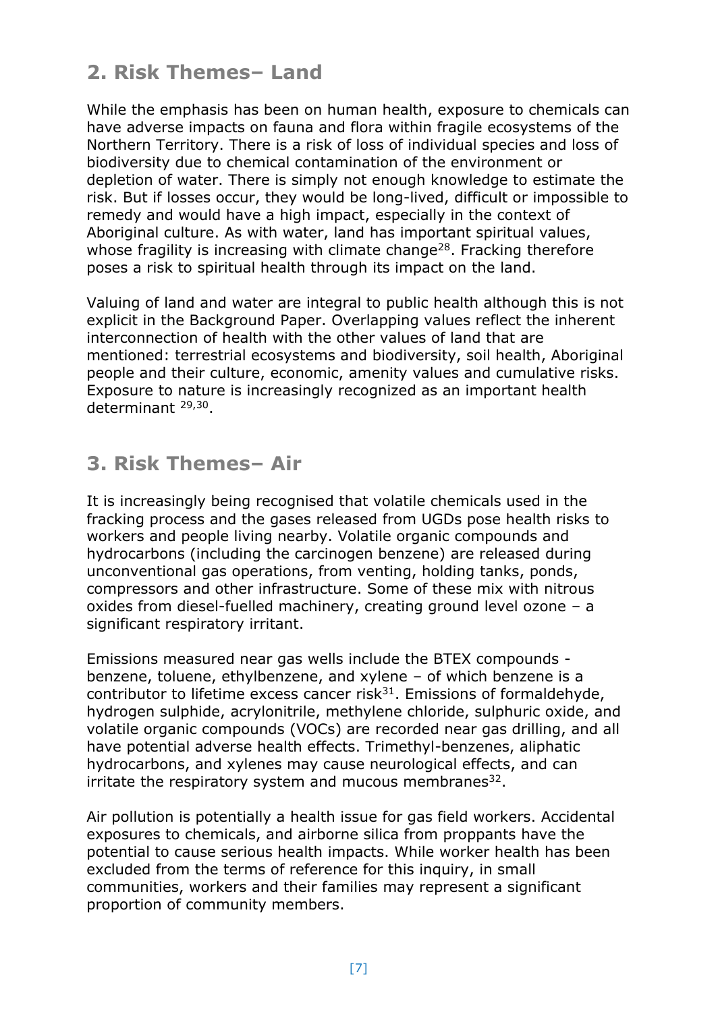### **2. Risk Themes– Land**

While the emphasis has been on human health, exposure to chemicals can have adverse impacts on fauna and flora within fragile ecosystems of the Northern Territory. There is a risk of loss of individual species and loss of biodiversity due to chemical contamination of the environment or depletion of water. There is simply not enough knowledge to estimate the risk. But if losses occur, they would be long-lived, difficult or impossible to remedy and would have a high impact, especially in the context of Aboriginal culture. As with water, land has important spiritual values, whose fragility is increasing with climate change<sup>28</sup>. Fracking therefore poses a risk to spiritual health through its impact on the land.

Valuing of land and water are integral to public health although this is not explicit in the Background Paper. Overlapping values reflect the inherent interconnection of health with the other values of land that are mentioned: terrestrial ecosystems and biodiversity, soil health, Aboriginal people and their culture, economic, amenity values and cumulative risks. Exposure to nature is increasingly recognized as an important health determinant <sup>29,30</sup>.

### **3. Risk Themes– Air**

It is increasingly being recognised that volatile chemicals used in the fracking process and the gases released from UGDs pose health risks to workers and people living nearby. Volatile organic compounds and hydrocarbons (including the carcinogen benzene) are released during unconventional gas operations, from venting, holding tanks, ponds, compressors and other infrastructure. Some of these mix with nitrous oxides from diesel-fuelled machinery, creating ground level ozone – a significant respiratory irritant.

Emissions measured near gas wells include the BTEX compounds benzene, toluene, ethylbenzene, and xylene – of which benzene is a contributor to lifetime excess cancer risk $31$ . Emissions of formaldehyde, hydrogen sulphide, acrylonitrile, methylene chloride, sulphuric oxide, and volatile organic compounds (VOCs) are recorded near gas drilling, and all have potential adverse health effects. Trimethyl-benzenes, aliphatic hydrocarbons, and xylenes may cause neurological effects, and can irritate the respiratory system and mucous membranes $32$ .

Air pollution is potentially a health issue for gas field workers. Accidental exposures to chemicals, and airborne silica from proppants have the potential to cause serious health impacts. While worker health has been excluded from the terms of reference for this inquiry, in small communities, workers and their families may represent a significant proportion of community members.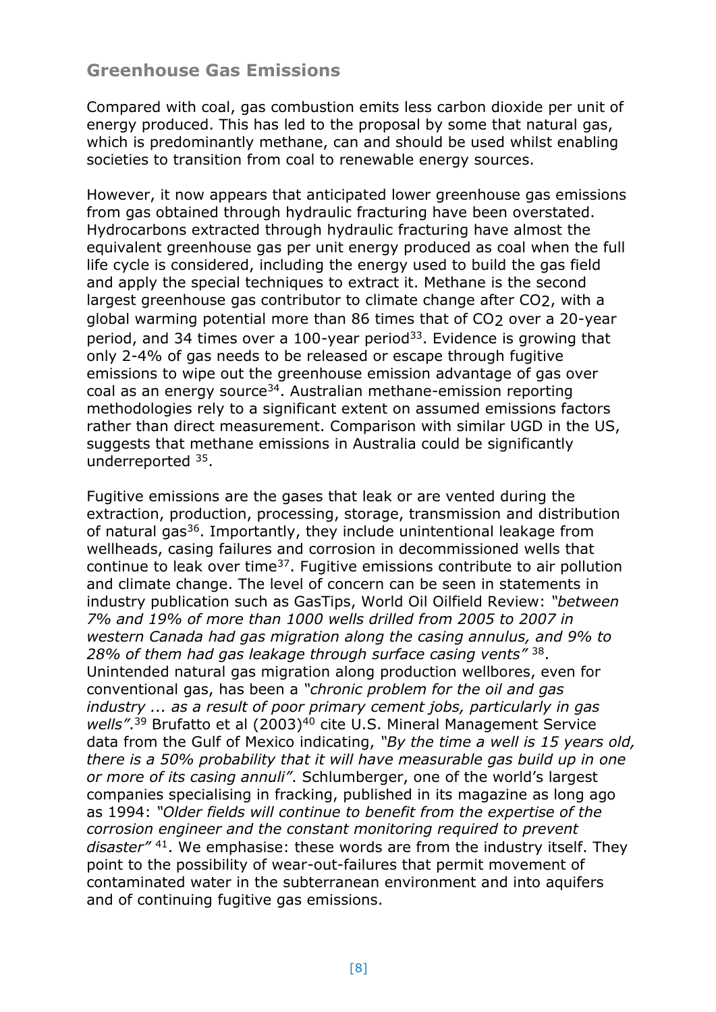#### **Greenhouse Gas Emissions**

Compared with coal, gas combustion emits less carbon dioxide per unit of energy produced. This has led to the proposal by some that natural gas, which is predominantly methane, can and should be used whilst enabling societies to transition from coal to renewable energy sources.

However, it now appears that anticipated lower greenhouse gas emissions from gas obtained through hydraulic fracturing have been overstated. Hydrocarbons extracted through hydraulic fracturing have almost the equivalent greenhouse gas per unit energy produced as coal when the full life cycle is considered, including the energy used to build the gas field and apply the special techniques to extract it. Methane is the second largest greenhouse gas contributor to climate change after CO2, with a global warming potential more than 86 times that of CO2 over a 20-year period, and 34 times over a 100-year period<sup>33</sup>. Evidence is growing that only 2-4% of gas needs to be released or escape through fugitive emissions to wipe out the greenhouse emission advantage of gas over coal as an energy source<sup>34</sup>. Australian methane-emission reporting methodologies rely to a significant extent on assumed emissions factors rather than direct measurement. Comparison with similar UGD in the US, suggests that methane emissions in Australia could be significantly underreported 35.

Fugitive emissions are the gases that leak or are vented during the extraction, production, processing, storage, transmission and distribution of natural gas<sup>36</sup>. Importantly, they include unintentional leakage from wellheads, casing failures and corrosion in decommissioned wells that continue to leak over time<sup>37</sup>. Fugitive emissions contribute to air pollution and climate change. The level of concern can be seen in statements in industry publication such as GasTips, World Oil Oilfield Review: *"between 7% and 19% of more than 1000 wells drilled from 2005 to 2007 in western Canada had gas migration along the casing annulus, and 9% to 28% of them had gas leakage through surface casing vents"* <sup>38</sup> . Unintended natural gas migration along production wellbores, even for conventional gas, has been a *"chronic problem for the oil and gas industry ... as a result of poor primary cement jobs, particularly in gas*  wells".<sup>39</sup> Brufatto et al (2003)<sup>40</sup> cite U.S. Mineral Management Service data from the Gulf of Mexico indicating, *"By the time a well is 15 years old, there is a 50% probability that it will have measurable gas build up in one or more of its casing annuli"*. Schlumberger, one of the world's largest companies specialising in fracking, published in its magazine as long ago as 1994: *"Older fields will continue to benefit from the expertise of the corrosion engineer and the constant monitoring required to prevent disaster"* <sup>41</sup>. We emphasise: these words are from the industry itself. They point to the possibility of wear-out-failures that permit movement of contaminated water in the subterranean environment and into aquifers and of continuing fugitive gas emissions.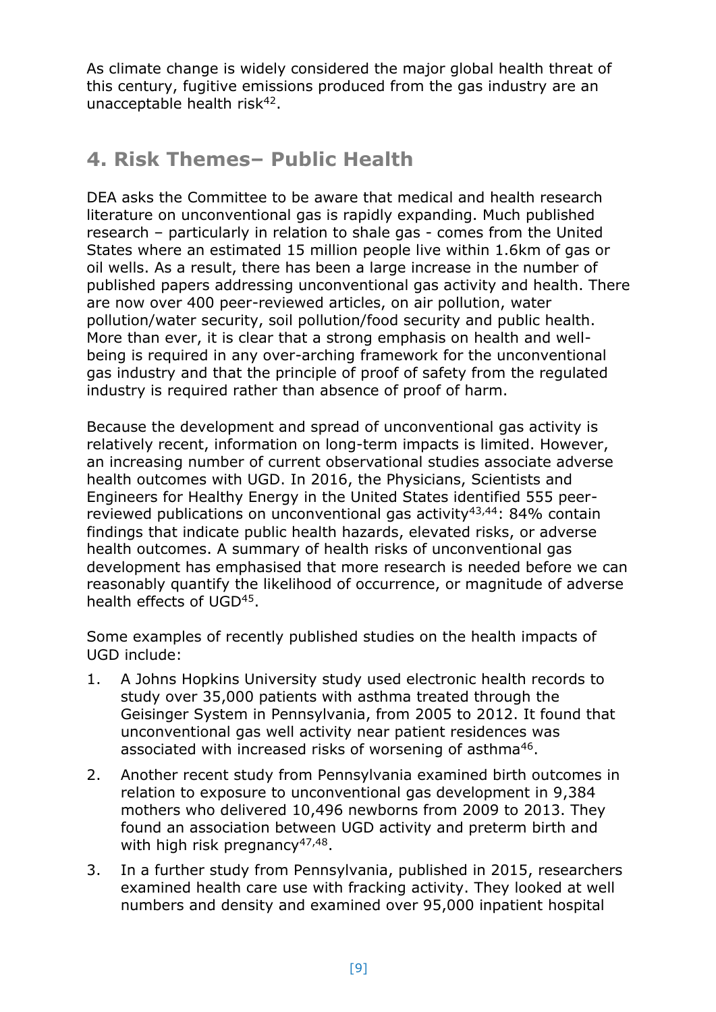As climate change is widely considered the major global health threat of this century, fugitive emissions produced from the gas industry are an unacceptable health risk<sup>42</sup>.

### **4. Risk Themes– Public Health**

DEA asks the Committee to be aware that medical and health research literature on unconventional gas is rapidly expanding. Much published research – particularly in relation to shale gas - comes from the United States where an estimated 15 million people live within 1.6km of gas or oil wells. As a result, there has been a large increase in the number of published papers addressing unconventional gas activity and health. There are now over 400 peer-reviewed articles, on air pollution, water pollution/water security, soil pollution/food security and public health. More than ever, it is clear that a strong emphasis on health and wellbeing is required in any over-arching framework for the unconventional gas industry and that the principle of proof of safety from the regulated industry is required rather than absence of proof of harm.

Because the development and spread of unconventional gas activity is relatively recent, information on long-term impacts is limited. However, an increasing number of current observational studies associate adverse health outcomes with UGD. In 2016, the Physicians, Scientists and Engineers for Healthy Energy in the United States identified 555 peerreviewed publications on unconventional gas activity<sup>43,44</sup>: 84% contain findings that indicate public health hazards, elevated risks, or adverse health outcomes. A summary of health risks of unconventional gas development has emphasised that more research is needed before we can reasonably quantify the likelihood of occurrence, or magnitude of adverse health effects of UGD<sup>45</sup>.

Some examples of recently published studies on the health impacts of UGD include:

- 1. A Johns Hopkins University study used electronic health records to study over 35,000 patients with asthma treated through the Geisinger System in Pennsylvania, from 2005 to 2012. It found that unconventional gas well activity near patient residences was associated with increased risks of worsening of asthma<sup>46</sup>.
- 2. Another recent study from Pennsylvania examined birth outcomes in relation to exposure to unconventional gas development in 9,384 mothers who delivered 10,496 newborns from 2009 to 2013. They found an association between UGD activity and preterm birth and with high risk pregnancy<sup>47,48</sup>.
- 3. In a further study from Pennsylvania, published in 2015, researchers examined health care use with fracking activity. They looked at well numbers and density and examined over 95,000 inpatient hospital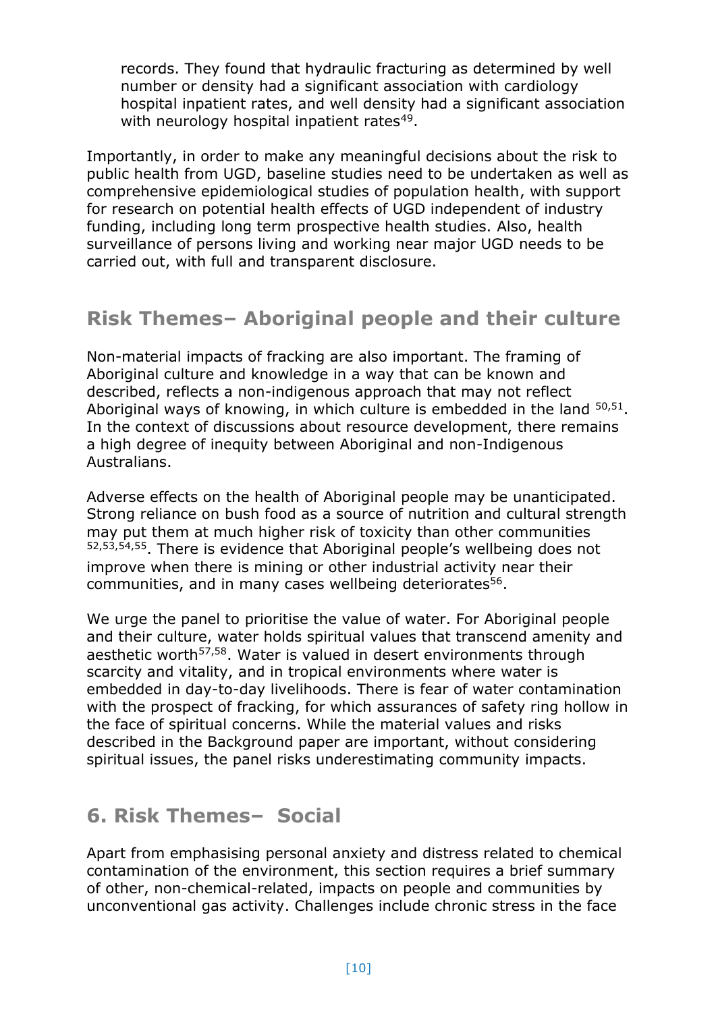records. They found that hydraulic fracturing as determined by well number or density had a significant association with cardiology hospital inpatient rates, and well density had a significant association with neurology hospital inpatient rates<sup>49</sup>.

Importantly, in order to make any meaningful decisions about the risk to public health from UGD, baseline studies need to be undertaken as well as comprehensive epidemiological studies of population health, with support for research on potential health effects of UGD independent of industry funding, including long term prospective health studies. Also, health surveillance of persons living and working near major UGD needs to be carried out, with full and transparent disclosure.

### **Risk Themes– Aboriginal people and their culture**

Non-material impacts of fracking are also important. The framing of Aboriginal culture and knowledge in a way that can be known and described, reflects a non-indigenous approach that may not reflect Aboriginal ways of knowing, in which culture is embedded in the land  $50,51$ . In the context of discussions about resource development, there remains a high degree of inequity between Aboriginal and non-Indigenous Australians.

Adverse effects on the health of Aboriginal people may be unanticipated. Strong reliance on bush food as a source of nutrition and cultural strength may put them at much higher risk of toxicity than other communities 52,53,54,55 . There is evidence that Aboriginal people's wellbeing does not improve when there is mining or other industrial activity near their communities, and in many cases wellbeing deteriorates<sup>56</sup>.

We urge the panel to prioritise the value of water. For Aboriginal people and their culture, water holds spiritual values that transcend amenity and aesthetic worth<sup>57,58</sup>. Water is valued in desert environments through scarcity and vitality, and in tropical environments where water is embedded in day-to-day livelihoods. There is fear of water contamination with the prospect of fracking, for which assurances of safety ring hollow in the face of spiritual concerns. While the material values and risks described in the Background paper are important, without considering spiritual issues, the panel risks underestimating community impacts.

#### **6. Risk Themes– Social**

Apart from emphasising personal anxiety and distress related to chemical contamination of the environment, this section requires a brief summary of other, non-chemical-related, impacts on people and communities by unconventional gas activity. Challenges include chronic stress in the face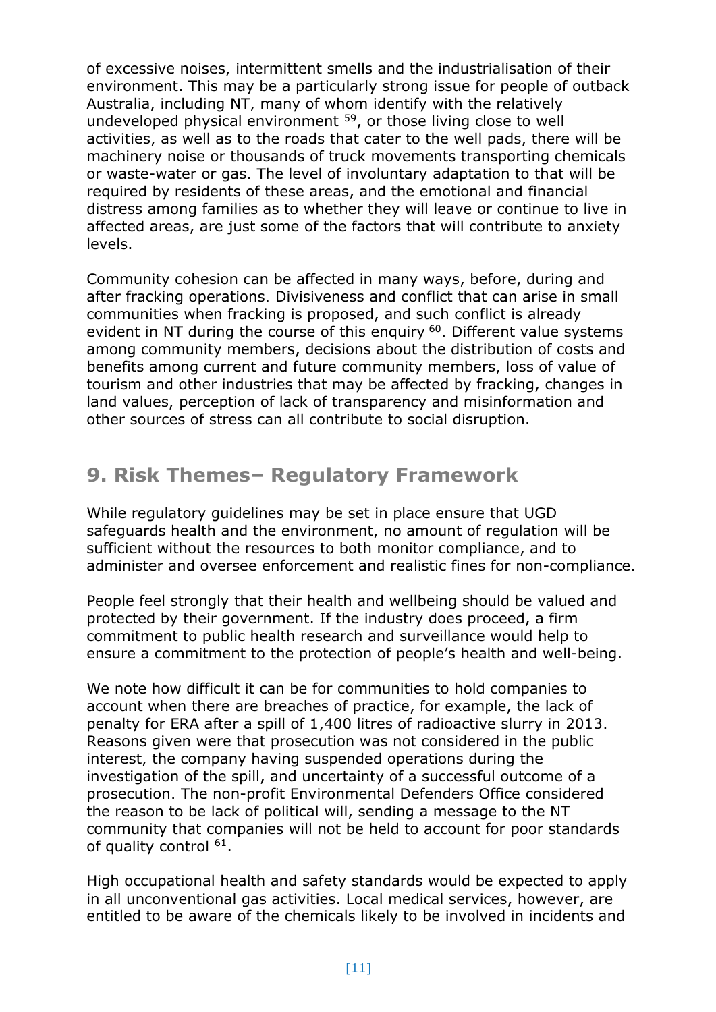of excessive noises, intermittent smells and the industrialisation of their environment. This may be a particularly strong issue for people of outback Australia, including NT, many of whom identify with the relatively undeveloped physical environment <sup>59</sup>, or those living close to well activities, as well as to the roads that cater to the well pads, there will be machinery noise or thousands of truck movements transporting chemicals or waste-water or gas. The level of involuntary adaptation to that will be required by residents of these areas, and the emotional and financial distress among families as to whether they will leave or continue to live in affected areas, are just some of the factors that will contribute to anxiety levels.

Community cohesion can be affected in many ways, before, during and after fracking operations. Divisiveness and conflict that can arise in small communities when fracking is proposed, and such conflict is already evident in NT during the course of this enquiry <sup>60</sup>. Different value systems among community members, decisions about the distribution of costs and benefits among current and future community members, loss of value of tourism and other industries that may be affected by fracking, changes in land values, perception of lack of transparency and misinformation and other sources of stress can all contribute to social disruption.

### **9. Risk Themes– Regulatory Framework**

While regulatory guidelines may be set in place ensure that UGD safeguards health and the environment, no amount of regulation will be sufficient without the resources to both monitor compliance, and to administer and oversee enforcement and realistic fines for non-compliance.

People feel strongly that their health and wellbeing should be valued and protected by their government. If the industry does proceed, a firm commitment to public health research and surveillance would help to ensure a commitment to the protection of people's health and well-being.

We note how difficult it can be for communities to hold companies to account when there are breaches of practice, for example, the lack of penalty for ERA after a spill of 1,400 litres of radioactive slurry in 2013. Reasons given were that prosecution was not considered in the public interest, the company having suspended operations during the investigation of the spill, and uncertainty of a successful outcome of a prosecution. The non-profit Environmental Defenders Office considered the reason to be lack of political will, sending a message to the NT community that companies will not be held to account for poor standards of quality control <sup>61</sup>.

High occupational health and safety standards would be expected to apply in all unconventional gas activities. Local medical services, however, are entitled to be aware of the chemicals likely to be involved in incidents and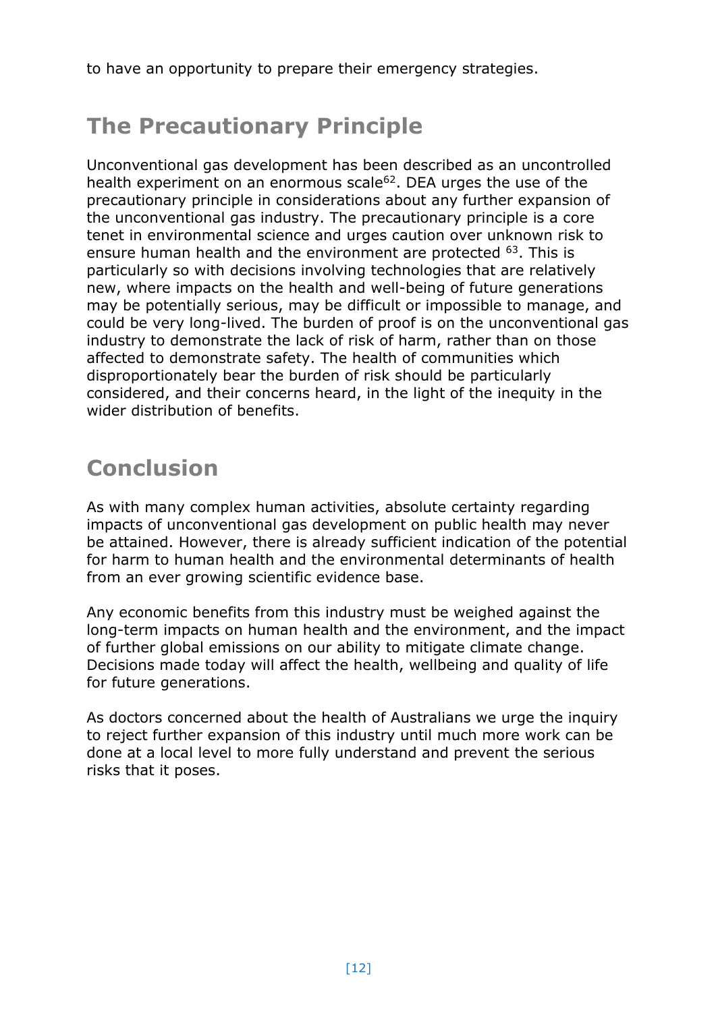to have an opportunity to prepare their emergency strategies.

# **The Precautionary Principle**

Unconventional gas development has been described as an uncontrolled health experiment on an enormous scale<sup>62</sup>. DEA urges the use of the precautionary principle in considerations about any further expansion of the unconventional gas industry. The precautionary principle is a core tenet in environmental science and urges caution over unknown risk to ensure human health and the environment are protected <sup>63</sup>. This is particularly so with decisions involving technologies that are relatively new, where impacts on the health and well-being of future generations may be potentially serious, may be difficult or impossible to manage, and could be very long-lived. The burden of proof is on the unconventional gas industry to demonstrate the lack of risk of harm, rather than on those affected to demonstrate safety. The health of communities which disproportionately bear the burden of risk should be particularly considered, and their concerns heard, in the light of the inequity in the wider distribution of benefits.

## **Conclusion**

As with many complex human activities, absolute certainty regarding impacts of unconventional gas development on public health may never be attained. However, there is already sufficient indication of the potential for harm to human health and the environmental determinants of health from an ever growing scientific evidence base.

Any economic benefits from this industry must be weighed against the long-term impacts on human health and the environment, and the impact of further global emissions on our ability to mitigate climate change. Decisions made today will affect the health, wellbeing and quality of life for future generations.

As doctors concerned about the health of Australians we urge the inquiry to reject further expansion of this industry until much more work can be done at a local level to more fully understand and prevent the serious risks that it poses.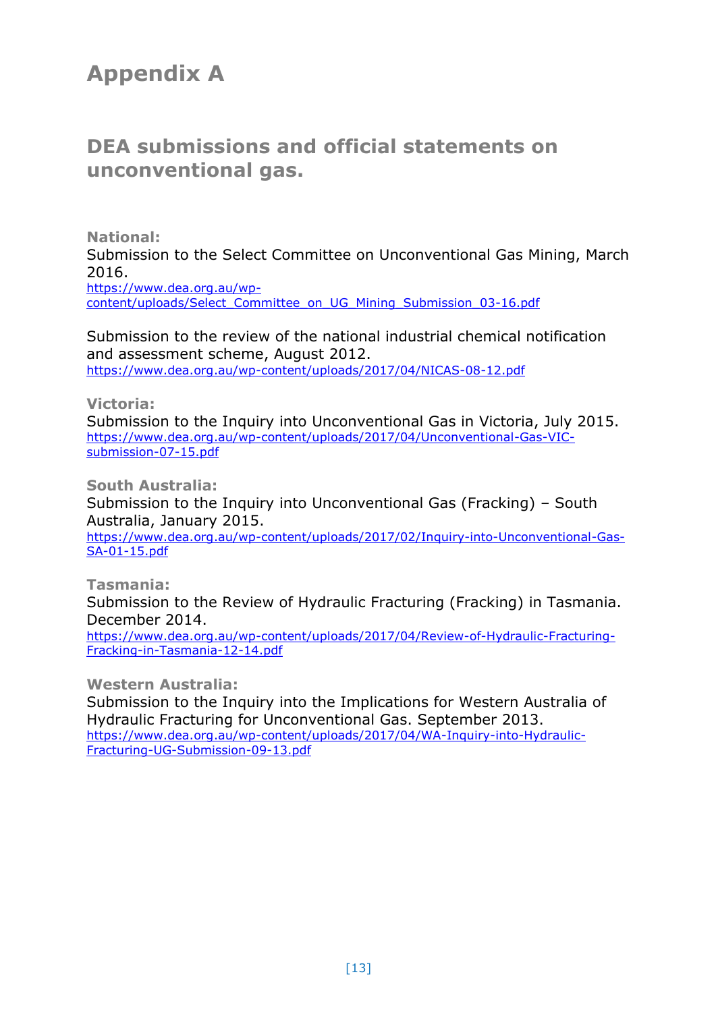## **Appendix A**

#### **DEA submissions and official statements on unconventional gas.**

**National:**

Submission to the Select Committee on Unconventional Gas Mining, March 2016.

[https://www.dea.org.au/wp](https://www.dea.org.au/wp-content/uploads/Select_Committee_on_UG_Mining_Submission_03-16.pdf)[content/uploads/Select\\_Committee\\_on\\_UG\\_Mining\\_Submission\\_03-16.pdf](https://www.dea.org.au/wp-content/uploads/Select_Committee_on_UG_Mining_Submission_03-16.pdf)

Submission to the review of the national industrial chemical notification and assessment scheme, August 2012. <https://www.dea.org.au/wp-content/uploads/2017/04/NICAS-08-12.pdf>

**Victoria:** 

Submission to the Inquiry into Unconventional Gas in Victoria, July 2015. [https://www.dea.org.au/wp-content/uploads/2017/04/Unconventional-Gas-VIC](https://www.dea.org.au/wp-content/uploads/2017/04/Unconventional-Gas-VIC-submission-07-15.pdf)[submission-07-15.pdf](https://www.dea.org.au/wp-content/uploads/2017/04/Unconventional-Gas-VIC-submission-07-15.pdf)

**South Australia:**  Submission to the Inquiry into Unconventional Gas (Fracking) – South Australia, January 2015.

[https://www.dea.org.au/wp-content/uploads/2017/02/Inquiry-into-Unconventional-Gas-](https://www.dea.org.au/wp-content/uploads/2017/02/Inquiry-into-Unconventional-Gas-SA-01-15.pdf)[SA-01-15.pdf](https://www.dea.org.au/wp-content/uploads/2017/02/Inquiry-into-Unconventional-Gas-SA-01-15.pdf)

**Tasmania:** 

Submission to the Review of Hydraulic Fracturing (Fracking) in Tasmania. December 2014.

[https://www.dea.org.au/wp-content/uploads/2017/04/Review-of-Hydraulic-Fracturing-](https://www.dea.org.au/wp-content/uploads/2017/04/Review-of-Hydraulic-Fracturing-Fracking-in-Tasmania-12-14.pdf)[Fracking-in-Tasmania-12-14.pdf](https://www.dea.org.au/wp-content/uploads/2017/04/Review-of-Hydraulic-Fracturing-Fracking-in-Tasmania-12-14.pdf)

**Western Australia:** 

Submission to the Inquiry into the Implications for Western Australia of Hydraulic Fracturing for Unconventional Gas. September 2013. [https://www.dea.org.au/wp-content/uploads/2017/04/WA-Inquiry-into-Hydraulic-](https://www.dea.org.au/wp-content/uploads/2017/04/WA-Inquiry-into-Hydraulic-Fracturing-UG-Submission-09-13.pdf)[Fracturing-UG-Submission-09-13.pdf](https://www.dea.org.au/wp-content/uploads/2017/04/WA-Inquiry-into-Hydraulic-Fracturing-UG-Submission-09-13.pdf)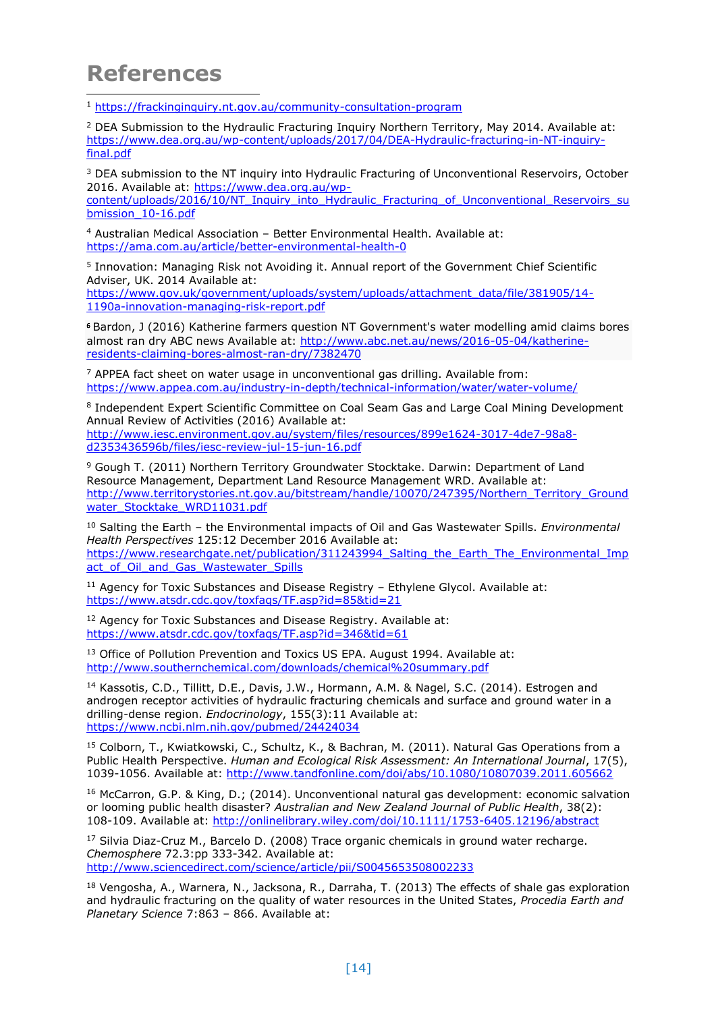### **References**

-

<sup>1</sup> <https://frackinginquiry.nt.gov.au/community-consultation-program>

<sup>2</sup> DEA Submission to the Hydraulic Fracturing Inquiry Northern Territory, May 2014. Available at: [https://www.dea.org.au/wp-content/uploads/2017/04/DEA-Hydraulic-fracturing-in-NT-inquiry](https://www.dea.org.au/wp-content/uploads/2017/04/DEA-Hydraulic-fracturing-in-NT-inquiry-final.pdf)[final.pdf](https://www.dea.org.au/wp-content/uploads/2017/04/DEA-Hydraulic-fracturing-in-NT-inquiry-final.pdf)

<sup>3</sup> DEA submission to the NT inquiry into Hydraulic Fracturing of Unconventional Reservoirs, October 2016. Available at: [https://www.dea.org.au/wp-](https://www.dea.org.au/wp-content/uploads/2016/10/NT_Inquiry_into_Hydraulic_Fracturing_of_Unconventional_Reservoirs_submission_10-16.pdf)

[content/uploads/2016/10/NT\\_Inquiry\\_into\\_Hydraulic\\_Fracturing\\_of\\_Unconventional\\_Reservoirs\\_su](https://www.dea.org.au/wp-content/uploads/2016/10/NT_Inquiry_into_Hydraulic_Fracturing_of_Unconventional_Reservoirs_submission_10-16.pdf) [bmission\\_10-16.pdf](https://www.dea.org.au/wp-content/uploads/2016/10/NT_Inquiry_into_Hydraulic_Fracturing_of_Unconventional_Reservoirs_submission_10-16.pdf)

<sup>4</sup> Australian Medical Association – Better Environmental Health. Available at: <https://ama.com.au/article/better-environmental-health-0>

<sup>5</sup> Innovation: Managing Risk not Avoiding it. Annual report of the Government Chief Scientific Adviser, UK. 2014 Available at:

[https://www.gov.uk/government/uploads/system/uploads/attachment\\_data/file/381905/14-](https://www.gov.uk/government/uploads/system/uploads/attachment_data/file/381905/14-1190a-innovation-managing-risk-report.pdf) [1190a-innovation-managing-risk-report.pdf](https://www.gov.uk/government/uploads/system/uploads/attachment_data/file/381905/14-1190a-innovation-managing-risk-report.pdf)

6 Bardon, J (2016) Katherine farmers question NT Government's water modelling amid claims bores almost ran dry ABC news Available at: [http://www.abc.net.au/news/2016-05-04/katherine](http://www.abc.net.au/news/2016-05-04/katherine-residents-claiming-bores-almost-ran-dry/7382470)[residents-claiming-bores-almost-ran-dry/7382470](http://www.abc.net.au/news/2016-05-04/katherine-residents-claiming-bores-almost-ran-dry/7382470) 

 $7$  APPEA fact sheet on water usage in unconventional gas drilling. Available from: <https://www.appea.com.au/industry-in-depth/technical-information/water/water-volume/>

<sup>8</sup> Independent Expert Scientific Committee on Coal Seam Gas and Large Coal Mining Development Annual Review of Activities (2016) Available at:

[http://www.iesc.environment.gov.au/system/files/resources/899e1624-3017-4de7-98a8](http://www.iesc.environment.gov.au/system/files/resources/899e1624-3017-4de7-98a8-d2353436596b/files/iesc-review-jul-15-jun-16.pdf) [d2353436596b/files/iesc-review-jul-15-jun-16.pdf](http://www.iesc.environment.gov.au/system/files/resources/899e1624-3017-4de7-98a8-d2353436596b/files/iesc-review-jul-15-jun-16.pdf)

<sup>9</sup> Gough T. (2011) Northern Territory Groundwater Stocktake. Darwin: Department of Land Resource Management, Department Land Resource Management WRD. Available at: [http://www.territorystories.nt.gov.au/bitstream/handle/10070/247395/Northern\\_Territory\\_Ground](http://www.territorystories.nt.gov.au/bitstream/handle/10070/247395/Northern_Territory_Groundwater_Stocktake_WRD11031.pdf) [water\\_Stocktake\\_WRD11031.pdf](http://www.territorystories.nt.gov.au/bitstream/handle/10070/247395/Northern_Territory_Groundwater_Stocktake_WRD11031.pdf)

<sup>10</sup> Salting the Earth – the Environmental impacts of Oil and Gas Wastewater Spills. *Environmental Health Perspectives* 125:12 December 2016 Available at: [https://www.researchgate.net/publication/311243994\\_Salting\\_the\\_Earth\\_The\\_Environmental\\_Imp](https://www.researchgate.net/publication/311243994_Salting_the_Earth_The_Environmental_Impact_of_Oil_and_Gas_Wastewater_Spills) act of Oil and Gas Wastewater Spills

 $11$  Agency for Toxic Substances and Disease Registry – Ethylene Glycol. Available at: <https://www.atsdr.cdc.gov/toxfaqs/TF.asp?id=85&tid=21>

<sup>12</sup> Agency for Toxic Substances and Disease Registry. Available at: <https://www.atsdr.cdc.gov/toxfaqs/TF.asp?id=346&tid=61>

<sup>13</sup> Office of Pollution Prevention and Toxics US EPA. August 1994. Available at: <http://www.southernchemical.com/downloads/chemical%20summary.pdf>

<sup>14</sup> Kassotis, C.D., Tillitt, D.E., Davis, J.W., Hormann, A.M. & Nagel, S.C. (2014). Estrogen and androgen receptor activities of hydraulic fracturing chemicals and surface and ground water in a drilling-dense region. *Endocrinology*, 155(3):11 Available at: <https://www.ncbi.nlm.nih.gov/pubmed/24424034>

<sup>15</sup> Colborn, T., Kwiatkowski, C., Schultz, K., & Bachran, M. (2011). Natural Gas Operations from a Public Health Perspective. *Human and Ecological Risk Assessment: An International Journal*, 17(5), 1039-1056. Available at:<http://www.tandfonline.com/doi/abs/10.1080/10807039.2011.605662>

<sup>16</sup> McCarron, G.P. & King, D.; (2014). Unconventional natural gas development: economic salvation or looming public health disaster? *Australian and New Zealand Journal of Public Health*, 38(2): 108-109. Available at:<http://onlinelibrary.wiley.com/doi/10.1111/1753-6405.12196/abstract>

<sup>17</sup> Silvia Diaz-Cruz M., Barcelo D. (2008) Trace organic chemicals in ground water recharge. *Chemosphere* 72.3:pp 333-342. Available at: <http://www.sciencedirect.com/science/article/pii/S0045653508002233>

<sup>18</sup> Vengosha, A., Warnera, N., Jacksona, R., Darraha, T. (2013) The effects of shale gas exploration and hydraulic fracturing on the quality of water resources in the United States, *Procedia Earth and Planetary Science* 7:863 – 866. Available at: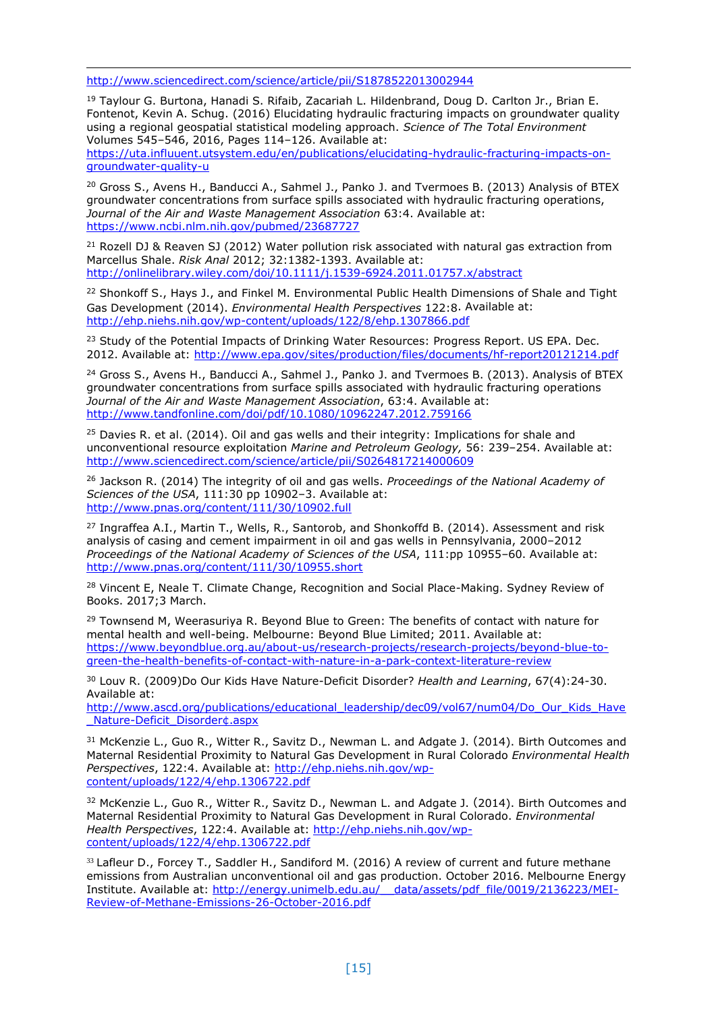<http://www.sciencedirect.com/science/article/pii/S1878522013002944>

-

<sup>19</sup> Taylour G. Burtona, Hanadi S. Rifaib, Zacariah L. Hildenbrand, Doug D. Carlton Jr., Brian E. Fontenot, Kevin A. Schug. (2016) Elucidating hydraulic fracturing impacts on groundwater quality using a regional geospatial statistical modeling approach. *Science of The Total Environment*  Volumes 545–546, 2016, Pages 114–126. Available at:

[https://uta.influuent.utsystem.edu/en/publications/elucidating-hydraulic-fracturing-impacts-on](https://uta.influuent.utsystem.edu/en/publications/elucidating-hydraulic-fracturing-impacts-on-groundwater-quality-u)[groundwater-quality-u](https://uta.influuent.utsystem.edu/en/publications/elucidating-hydraulic-fracturing-impacts-on-groundwater-quality-u)

<sup>20</sup> Gross S., Avens H., Banducci A., Sahmel J., Panko J. and Tvermoes B. (2013) Analysis of BTEX groundwater concentrations from surface spills associated with hydraulic fracturing operations, *Journal of the Air and Waste Management Association* 63:4. Available at: <https://www.ncbi.nlm.nih.gov/pubmed/23687727>

<sup>21</sup> Rozell DJ & Reaven SJ (2012) Water pollution risk associated with natural gas extraction from Marcellus Shale. *Risk Anal* 2012; 32:1382-1393. Available at: <http://onlinelibrary.wiley.com/doi/10.1111/j.1539-6924.2011.01757.x/abstract>

<sup>22</sup> Shonkoff S., Hays J., and Finkel M. Environmental Public Health Dimensions of Shale and Tight Gas Development (2014). *Environmental Health Perspectives* 122:8. Available at: <http://ehp.niehs.nih.gov/wp-content/uploads/122/8/ehp.1307866.pdf>

<sup>23</sup> Study of the Potential Impacts of Drinking Water Resources: Progress Report. US EPA. Dec. 2012. Available at:<http://www.epa.gov/sites/production/files/documents/hf-report20121214.pdf>

<sup>24</sup> Gross S., Avens H., Banducci A., Sahmel J., Panko J. and Tvermoes B. (2013). Analysis of BTEX groundwater concentrations from surface spills associated with hydraulic fracturing operations *Journal of the Air and Waste Management Association*, 63:4. Available at: <http://www.tandfonline.com/doi/pdf/10.1080/10962247.2012.759166>

 $25$  Davies R. et al. (2014). Oil and gas wells and their integrity: Implications for shale and unconventional resource exploitation *Marine and Petroleum Geology,* 56: 239–254. Available at: <http://www.sciencedirect.com/science/article/pii/S0264817214000609>

<sup>26</sup> Jackson R. (2014) The integrity of oil and gas wells. *Proceedings of the National Academy of Sciences of the USA*, 111:30 pp 10902–3. Available at: <http://www.pnas.org/content/111/30/10902.full>

<sup>27</sup> Ingraffea A.I., Martin T., Wells, R., Santorob, and Shonkoffd B. (2014). Assessment and risk analysis of casing and cement impairment in oil and gas wells in Pennsylvania, 2000–2012 *Proceedings of the National Academy of Sciences of the USA*, 111:pp 10955–60. Available at: <http://www.pnas.org/content/111/30/10955.short>

<sup>28</sup> Vincent E, Neale T. Climate Change, Recognition and Social Place-Making. Sydney Review of Books. 2017;3 March.

 $29$  Townsend M, Weerasuriya R. Beyond Blue to Green: The benefits of contact with nature for mental health and well-being. Melbourne: Beyond Blue Limited; 2011. Available at: [https://www.beyondblue.org.au/about-us/research-projects/research-projects/beyond-blue-to](https://www.beyondblue.org.au/about-us/research-projects/research-projects/beyond-blue-to-green-the-health-benefits-of-contact-with-nature-in-a-park-context-literature-review)[green-the-health-benefits-of-contact-with-nature-in-a-park-context-literature-review](https://www.beyondblue.org.au/about-us/research-projects/research-projects/beyond-blue-to-green-the-health-benefits-of-contact-with-nature-in-a-park-context-literature-review)

<sup>30</sup> Louv R. (2009)Do Our Kids Have Nature-Deficit Disorder? *Health and Learning*, 67(4):24-30. Available at:

[http://www.ascd.org/publications/educational\\_leadership/dec09/vol67/num04/Do\\_Our\\_Kids\\_Have](http://www.ascd.org/publications/educational_leadership/dec09/vol67/num04/Do_Our_Kids_Have_Nature-Deficit_Disorder¢.aspx) [\\_Nature-Deficit\\_Disorder¢.aspx](http://www.ascd.org/publications/educational_leadership/dec09/vol67/num04/Do_Our_Kids_Have_Nature-Deficit_Disorder¢.aspx)

<sup>31</sup> McKenzie L., Guo R., Witter R., Savitz D., Newman L. and Adgate J. (2014). Birth Outcomes and Maternal Residential Proximity to Natural Gas Development in Rural Colorado *Environmental Health Perspectives*, 122:4. Available at: [http://ehp.niehs.nih.gov/wp](http://ehp.niehs.nih.gov/wp-content/uploads/122/4/ehp.1306722.pdf)[content/uploads/122/4/ehp.1306722.pdf](http://ehp.niehs.nih.gov/wp-content/uploads/122/4/ehp.1306722.pdf)

<sup>32</sup> McKenzie L., Guo R., Witter R., Savitz D., Newman L. and Adgate J. (2014). Birth Outcomes and Maternal Residential Proximity to Natural Gas Development in Rural Colorado. *Environmental Health Perspectives*, 122:4. Available at: [http://ehp.niehs.nih.gov/wp](http://ehp.niehs.nih.gov/wp-%20content/uploads/122/4/ehp.1306722.pdf)[content/uploads/122/4/ehp.1306722.pdf](http://ehp.niehs.nih.gov/wp-%20content/uploads/122/4/ehp.1306722.pdf)

<sup>33</sup> Lafleur D., Forcey T., Saddler H., Sandiford M. (2016) A review of current and future methane emissions from Australian unconventional oil and gas production. October 2016. Melbourne Energy Institute. Available at: http://energy.unimelb.edu.au/ data/assets/pdf file/0019/2136223/MEI-[Review-of-Methane-Emissions-26-October-2016.pdf](http://energy.unimelb.edu.au/__data/assets/pdf_file/0019/2136223/MEI-Review-of-Methane-Emissions-26-October-2016.pdf)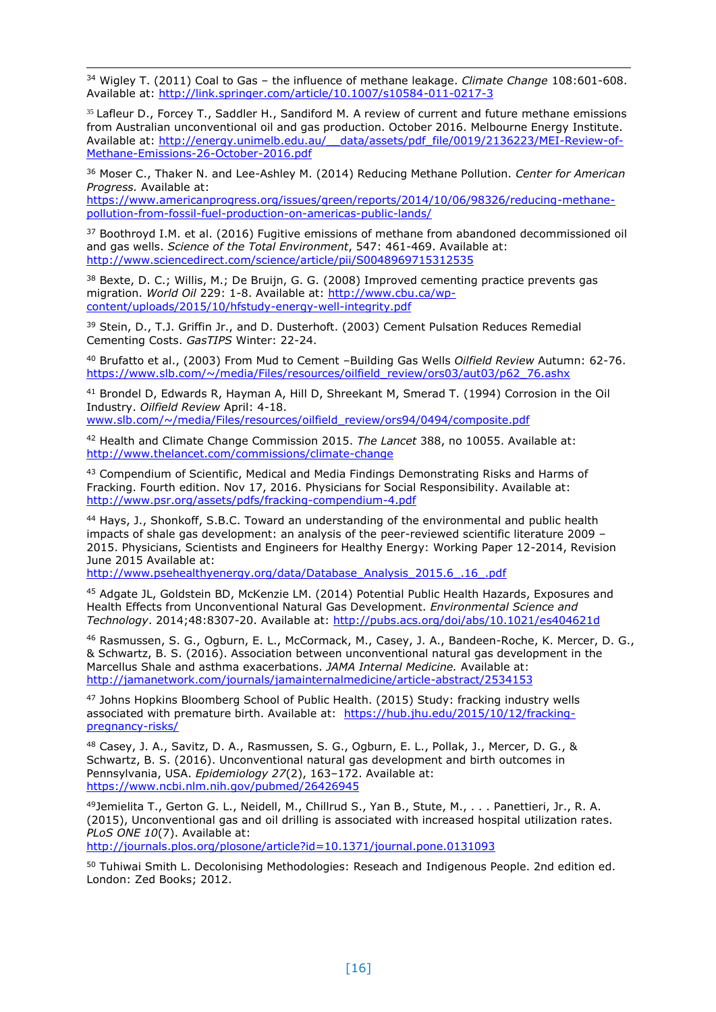-<sup>34</sup> Wigley T. (2011) Coal to Gas – the influence of methane leakage. *Climate Change* 108:601-608. Available at:<http://link.springer.com/article/10.1007/s10584-011-0217-3>

<sup>35</sup> Lafleur D., Forcey T., Saddler H., Sandiford M. A review of current and future methane emissions from Australian unconventional oil and gas production. October 2016. Melbourne Energy Institute. Available at: http://energy.unimelb.edu.au/ data/assets/pdf\_file/0019/2136223/MEI-Review-of-[Methane-Emissions-26-October-2016.pdf](http://energy.unimelb.edu.au/__data/assets/pdf_file/0019/2136223/MEI-Review-of-Methane-Emissions-26-October-2016.pdf)

<sup>36</sup> Moser C., Thaker N. and Lee-Ashley M. (2014) Reducing Methane Pollution. *Center for American Progress.* Available at:

[https://www.americanprogress.org/issues/green/reports/2014/10/06/98326/reducing-methane](https://www.americanprogress.org/issues/green/reports/2014/10/06/98326/reducing-methane-pollution-from-fossil-fuel-production-on-americas-public-lands/)[pollution-from-fossil-fuel-production-on-americas-public-lands/](https://www.americanprogress.org/issues/green/reports/2014/10/06/98326/reducing-methane-pollution-from-fossil-fuel-production-on-americas-public-lands/)

<sup>37</sup> Boothroyd I.M. et al. (2016) Fugitive emissions of methane from abandoned decommissioned oil and gas wells. *Science of the Total Environment*, 547: 461-469. Available at: <http://www.sciencedirect.com/science/article/pii/S0048969715312535>

<sup>38</sup> Bexte, D. C.; Willis, M.; De Bruijn, G. G. (2008) Improved cementing practice prevents gas migration. *World Oil* 229: 1-8. Available at: [http://www.cbu.ca/wp](http://www.cbu.ca/wp-content/uploads/2015/10/hfstudy-energy-well-integrity.pdf)[content/uploads/2015/10/hfstudy-energy-well-integrity.pdf](http://www.cbu.ca/wp-content/uploads/2015/10/hfstudy-energy-well-integrity.pdf)

<sup>39</sup> Stein, D., T.J. Griffin Jr., and D. Dusterhoft. (2003) Cement Pulsation Reduces Remedial Cementing Costs. *GasTIPS* Winter: 22-24.

<sup>40</sup> Brufatto et al., (2003) From Mud to Cement –Building Gas Wells *Oilfield Review* Autumn: 62-76. [https://www.slb.com/~/media/Files/resources/oilfield\\_review/ors03/aut03/p62\\_76.ashx](https://www.slb.com/~/media/Files/resources/oilfield_review/ors03/aut03/p62_76.ashx)

<sup>41</sup> Brondel D, Edwards R, Hayman A, Hill D, Shreekant M, Smerad T. (1994) Corrosion in the Oil Industry. *Oilfield Review* April: 4-18.

[www.slb.com/~/media/Files/resources/oilfield\\_review/ors94/0494/composite.pdf](http://www.slb.com/~/media/Files/resources/oilfield_review/ors94/0494/composite.pdf)

<sup>42</sup> Health and Climate Change Commission 2015. *The Lancet* 388, no 10055. Available at: <http://www.thelancet.com/commissions/climate-change>

43 Compendium of Scientific, Medical and Media Findings Demonstrating Risks and Harms of Fracking. Fourth edition. Nov 17, 2016. Physicians for Social Responsibility. Available at: <http://www.psr.org/assets/pdfs/fracking-compendium-4.pdf>

<sup>44</sup> Hays, J., Shonkoff, S.B.C. Toward an understanding of the environmental and public health impacts of shale gas development: an analysis of the peer-reviewed scientific literature 2009 – 2015. Physicians, Scientists and Engineers for Healthy Energy: Working Paper 12-2014, Revision June 2015 Available at:

[http://www.psehealthyenergy.org/data/Database\\_Analysis\\_2015.6\\_.16\\_.pdf](http://www.psehealthyenergy.org/data/Database_Analysis_2015.6_.16_.pdf)

<sup>45</sup> Adgate JL, Goldstein BD, McKenzie LM. (2014) Potential Public Health Hazards, Exposures and Health Effects from Unconventional Natural Gas Development. *Environmental Science and Technology*. 2014;48:8307-20. Available at:<http://pubs.acs.org/doi/abs/10.1021/es404621d>

<sup>46</sup> Rasmussen, S. G., Ogburn, E. L., McCormack, M., Casey, J. A., Bandeen-Roche, K. Mercer, D. G., & Schwartz, B. S. (2016). Association between unconventional natural gas development in the Marcellus Shale and asthma exacerbations. *JAMA Internal Medicine.* Available at: <http://jamanetwork.com/journals/jamainternalmedicine/article-abstract/2534153>

<sup>47</sup> Johns Hopkins Bloomberg School of Public Health. (2015) Study: fracking industry wells associated with premature birth. Available at: [https://hub.jhu.edu/2015/10/12/fracking](https://hub.jhu.edu/2015/10/12/fracking-pregnancy-risks/)[pregnancy-risks/](https://hub.jhu.edu/2015/10/12/fracking-pregnancy-risks/)

48 Casey, J. A., Savitz, D. A., Rasmussen, S. G., Ogburn, E. L., Pollak, J., Mercer, D. G., & Schwartz, B. S. (2016). Unconventional natural gas development and birth outcomes in Pennsylvania, USA. *Epidemiology 27*(2), 163–172. Available at: <https://www.ncbi.nlm.nih.gov/pubmed/26426945>

<sup>49</sup>Jemielita T., Gerton G. L., Neidell, M., Chillrud S., Yan B., Stute, M., . . . Panettieri, Jr., R. A. (2015), Unconventional gas and oil drilling is associated with increased hospital utilization rates. *PLoS ONE 10*(7). Available at:

<http://journals.plos.org/plosone/article?id=10.1371/journal.pone.0131093>

<sup>50</sup> Tuhiwai Smith L. Decolonising Methodologies: Reseach and Indigenous People. 2nd edition ed. London: Zed Books; 2012.